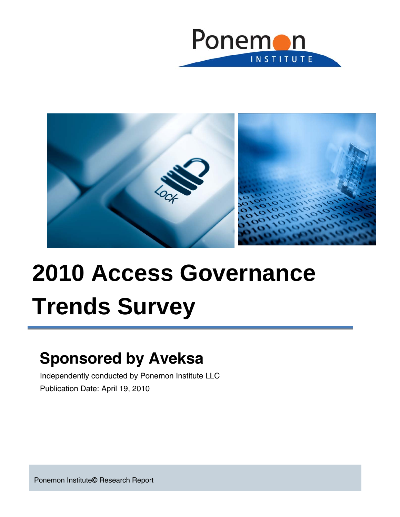



# **2010 Access Governance Trends Survey**

# **Sponsored by Aveksa**

Independently conducted by Ponemon Institute LLC Publication Date: April 19, 2010

Ponemon Institute© Research Report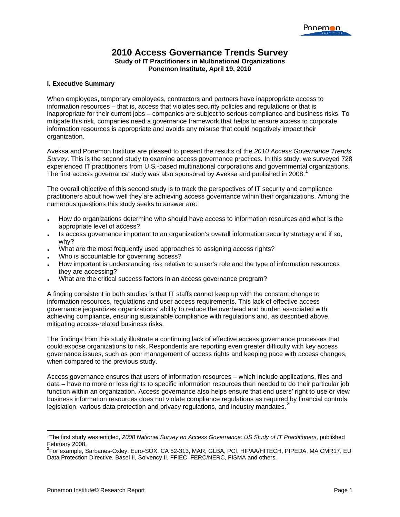#### **2010 Access Governance Trends Survey Study of IT Practitioners in Multinational Organizations Ponemon Institute, April 19, 2010**

#### **I. Executive Summary**

When employees, temporary employees, contractors and partners have inappropriate access to information resources – that is, access that violates security policies and regulations or that is inappropriate for their current jobs – companies are subject to serious compliance and business risks. To mitigate this risk, companies need a governance framework that helps to ensure access to corporate information resources is appropriate and avoids any misuse that could negatively impact their organization.

Aveksa and Ponemon Institute are pleased to present the results of the *2010 Access Governance Trends Survey*. This is the second study to examine access governance practices. In this study, we surveyed 728 experienced IT practitioners from U.S*.-*based multinational corporations and governmental organizations. The first access governance study was also sponsored by Aveksa and published in 2008.<sup>[1](#page-1-0)</sup>

The overall objective of this second study is to track the perspectives of IT security and compliance practitioners about how well they are achieving access governance within their organizations. Among the numerous questions this study seeks to answer are:

- How do organizations determine who should have access to information resources and what is the appropriate level of access?
- Is access governance important to an organization's overall information security strategy and if so, why?
- What are the most frequently used approaches to assigning access rights?
- Who is accountable for governing access?
- How important is understanding risk relative to a user's role and the type of information resources they are accessing?
- What are the critical success factors in an access governance program?

A finding consistent in both studies is that IT staffs cannot keep up with the constant change to information resources, regulations and user access requirements. This lack of effective access governance jeopardizes organizations' ability to reduce the overhead and burden associated with achieving compliance, ensuring sustainable compliance with regulations and, as described above, mitigating access-related business risks.

The findings from this study illustrate a continuing lack of effective access governance processes that could expose organizations to risk. Respondents are reporting even greater difficulty with key access governance issues, such as poor management of access rights and keeping pace with access changes, when compared to the previous study.

Access governance ensures that users of information resources – which include applications, files and data – have no more or less rights to specific information resources than needed to do their particular job function within an organization. Access governance also helps ensure that end users' right to use or view business information resources does not violate compliance regulations as required by financial controls legislation, various data protection and privacy regulations, and industry mandates. $2$ 

<u> 1980 - Andrea Andrew Maria (h. 1980).</u><br>Demografia

<span id="page-1-0"></span><sup>1</sup> The first study was entitled, *2008 National Survey on Access Governance: US Study of IT Practitioners*, published February 2008.

<span id="page-1-1"></span><sup>2</sup> For example, Sarbanes-Oxley, Euro-SOX, CA 52-313, MAR, GLBA, PCI, HIPAA/HITECH, PIPEDA, MA CMR17, EU Data Protection Directive, Basel II, Solvency II, FFIEC, FERC/NERC, FISMA and others.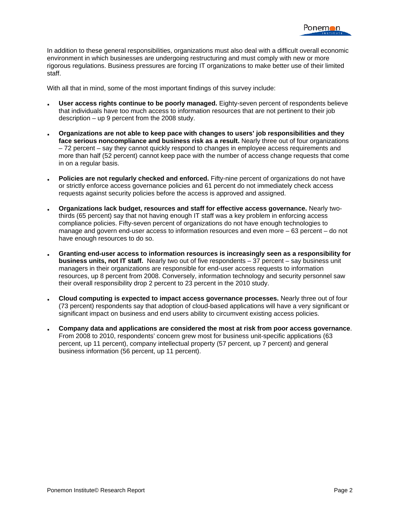In addition to these general responsibilities, organizations must also deal with a difficult overall economic environment in which businesses are undergoing restructuring and must comply with new or more rigorous regulations. Business pressures are forcing IT organizations to make better use of their limited staff.

With all that in mind, some of the most important findings of this survey include:

- **User access rights continue to be poorly managed.** Eighty-seven percent of respondents believe that individuals have too much access to information resources that are not pertinent to their job description – up 9 percent from the 2008 study.
- **Organizations are not able to keep pace with changes to users' job responsibilities and they face serious noncompliance and business risk as a result.** Nearly three out of four organizations – 72 percent – say they cannot quickly respond to changes in employee access requirements and more than half (52 percent) cannot keep pace with the number of access change requests that come in on a regular basis.
- **Policies are not regularly checked and enforced.** Fifty-nine percent of organizations do not have or strictly enforce access governance policies and 61 percent do not immediately check access requests against security policies before the access is approved and assigned.
- **Organizations lack budget, resources and staff for effective access governance.** Nearly twothirds (65 percent) say that not having enough IT staff was a key problem in enforcing access compliance policies. Fifty-seven percent of organizations do not have enough technologies to manage and govern end-user access to information resources and even more *–* 63 percent – do not have enough resources to do so.
- **Granting end-user access to information resources is increasingly seen as a responsibility for business units, not IT staff.** Nearly two out of five respondents – 37 percent – say business unit managers in their organizations are responsible for end-user access requests to information resources, up 8 percent from 2008. Conversely, information technology and security personnel saw their overall responsibility drop 2 percent to 23 percent in the 2010 study.
- **Cloud computing is expected to impact access governance processes.** Nearly three out of four (73 percent) respondents say that adoption of cloud-based applications will have a very significant or significant impact on business and end users ability to circumvent existing access policies.
- **Company data and applications are considered the most at risk from poor access governance**. From 2008 to 2010, respondents' concern grew most for business unit-specific applications (63 percent, up 11 percent), company intellectual property (57 percent, up 7 percent) and general business information (56 percent, up 11 percent).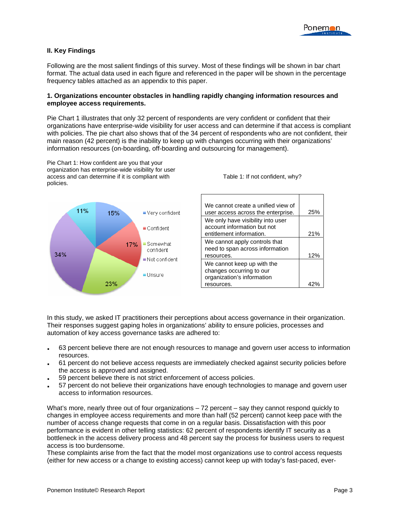

#### **II. Key Findings**

Following are the most salient findings of this survey. Most of these findings will be shown in bar chart format. The actual data used in each figure and referenced in the paper will be shown in the percentage frequency tables attached as an appendix to this paper.

#### **1. Organizations encounter obstacles in handling rapidly changing information resources and employee access requirements.**

Pie Chart 1 illustrates that only 32 percent of respondents are very confident or confident that their organizations have enterprise-wide visibility for user access and can determine if that access is compliant with policies. The pie chart also shows that of the 34 percent of respondents who are not confident, their main reason (42 percent) is the inability to keep up with changes occurring with their organizations' information resources (on-boarding, off-boarding and outsourcing for management).

Pie Chart 1: How confident are you that your organization has enterprise-wide visibility for user access and can determine if it is compliant with policies.



Table 1: If not confident, why?

| 25% |
|-----|
|     |
|     |
| 21% |
|     |
|     |
| 12% |
|     |
|     |
|     |
|     |
|     |

In this study, we asked IT practitioners their perceptions about access governance in their organization. Their responses suggest gaping holes in organizations' ability to ensure policies, processes and automation of key access governance tasks are adhered to:

- 63 percent believe there are not enough resources to manage and govern user access to information resources.
- 61 percent do not believe access requests are immediately checked against security policies before the access is approved and assigned.
- 59 percent believe there is not strict enforcement of access policies.
- 57 percent do not believe their organizations have enough technologies to manage and govern user access to information resources.

What's more, nearly three out of four organizations  $-72$  percent  $-$  say they cannot respond quickly to changes in employee access requirements and more than half (52 percent) cannot keep pace with the number of access change requests that come in on a regular basis. Dissatisfaction with this poor performance is evident in other telling statistics: 62 percent of respondents identify IT security as a bottleneck in the access delivery process and 48 percent say the process for business users to request access is too burdensome.

These complaints arise from the fact that the model most organizations use to control access requests (either for new access or a change to existing access) cannot keep up with today's fast-paced, ever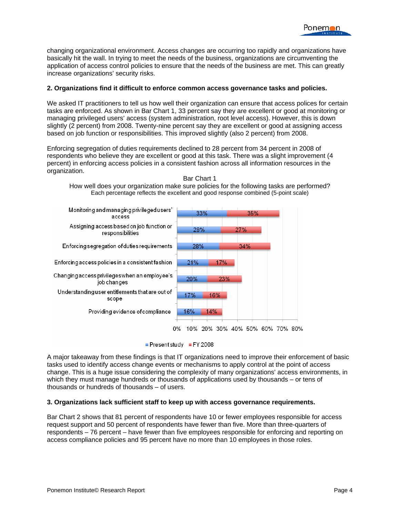changing organizational environment. Access changes are occurring too rapidly and organizations have basically hit the wall. In trying to meet the needs of the business, organizations are circumventing the application of access control policies to ensure that the needs of the business are met. This can greatly increase organizations' security risks.

#### **2. Organizations find it difficult to enforce common access governance tasks and policies.**

We asked IT practitioners to tell us how well their organization can ensure that access polices for certain tasks are enforced. As shown in Bar Chart 1, 33 percent say they are excellent or good at monitoring or managing privileged users' access (system administration, root level access). However, this is down slightly (2 percent) from 2008. Twenty-nine percent say they are excellent or good at assigning access based on job function or responsibilities. This improved slightly (also 2 percent) from 2008.

Enforcing segregation of duties requirements declined to 28 percent from 34 percent in 2008 of respondents who believe they are excellent or good at this task. There was a slight improvement (4 percent) in enforcing access policies in a consistent fashion across all information resources in the organization.



Bar Chart 1

How well does your organization make sure policies for the following tasks are performed? Each percentage reflects the excellent and good response combined (5-point scale)

Present study FY 2008

A major takeaway from these findings is that IT organizations need to improve their enforcement of basic tasks used to identify access change events or mechanisms to apply control at the point of access change. This is a huge issue considering the complexity of many organizations' access environments, in which they must manage hundreds or thousands of applications used by thousands – or tens of thousands or hundreds of thousands – of users.

#### **3. Organizations lack sufficient staff to keep up with access governance requirements.**

Bar Chart 2 shows that 81 percent of respondents have 10 or fewer employees responsible for access request support and 50 percent of respondents have fewer than five. More than three-quarters of respondents – 76 percent – have fewer than five employees responsible for enforcing and reporting on access compliance policies and 95 percent have no more than 10 employees in those roles.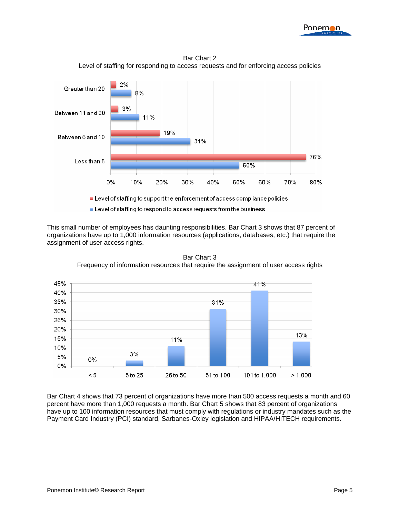



Bar Chart 2 Level of staffing for responding to access requests and for enforcing access policies

This small number of employees has daunting responsibilities. Bar Chart 3 shows that 87 percent of organizations have up to 1,000 information resources (applications, databases, etc.) that require the assignment of user access rights.



Bar Chart 3 Frequency of information resources that require the assignment of user access rights

Bar Chart 4 shows that 73 percent of organizations have more than 500 access requests a month and 60 percent have more than 1,000 requests a month. Bar Chart 5 shows that 83 percent of organizations have up to 100 information resources that must comply with regulations or industry mandates such as the Payment Card Industry (PCI) standard, Sarbanes-Oxley legislation and HIPAA/HITECH requirements.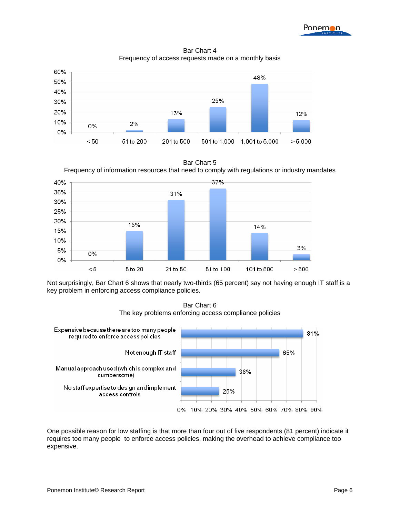Bar Chart 4 Frequency of access requests made on a monthly basis



Bar Chart 5 Frequency of information resources that need to comply with regulations or industry mandates



Not surprisingly, Bar Chart 6 shows that nearly two-thirds (65 percent) say not having enough IT staff is a key problem in enforcing access compliance policies.

Bar Chart 6 The key problems enforcing access compliance policies



One possible reason for low staffing is that more than four out of five respondents (81 percent) indicate it requires too many people to enforce access policies, making the overhead to achieve compliance too expensive.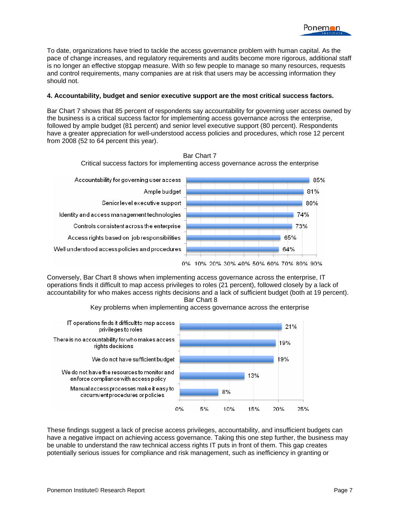To date, organizations have tried to tackle the access governance problem with human capital. As the pace of change increases, and regulatory requirements and audits become more rigorous, additional staff is no longer an effective stopgap measure. With so few people to manage so many resources, requests and control requirements, many companies are at risk that users may be accessing information they should not.

#### **4. Accountability, budget and senior executive support are the most critical success factors.**

Bar Chart 7 shows that 85 percent of respondents say accountability for governing user access owned by the business is a critical success factor for implementing access governance across the enterprise, followed by ample budget (81 percent) and senior level executive support (80 percent). Respondents have a greater appreciation for well-understood access policies and procedures, which rose 12 percent from 2008 (52 to 64 percent this year).

> Bar Chart 7 Critical success factors for implementing access governance across the enterprise



Conversely, Bar Chart 8 shows when implementing access governance across the enterprise, IT operations finds it difficult to map access privileges to roles (21 percent), followed closely by a lack of accountability for who makes access rights decisions and a lack of sufficient budget (both at 19 percent). Bar Chart 8



Key problems when implementing access governance across the enterprise

These findings suggest a lack of precise access privileges, accountability, and insufficient budgets can have a negative impact on achieving access governance. Taking this one step further, the business may be unable to understand the raw technical access rights IT puts in front of them. This gap creates potentially serious issues for compliance and risk management, such as inefficiency in granting or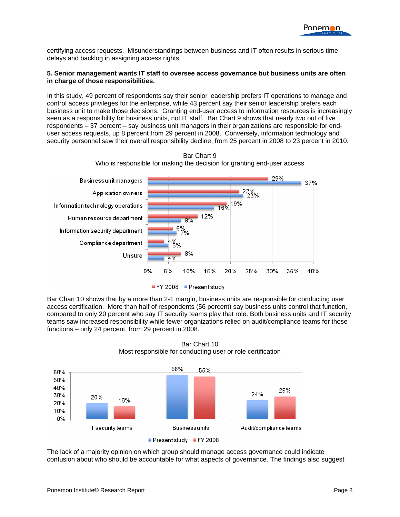certifying access requests. Misunderstandings between business and IT often results in serious time delays and backlog in assigning access rights.

#### **5. Senior management wants IT staff to oversee access governance but business units are often in charge of those responsibilities.**

In this study, 49 percent of respondents say their senior leadership prefers IT operations to manage and control access privileges for the enterprise, while 43 percent say their senior leadership prefers each business unit to make those decisions. Granting end-user access to information resources is increasingly seen as a responsibility for business units, not IT staff. Bar Chart 9 shows that nearly two out of five respondents – 37 percent – say business unit managers in their organizations are responsible for enduser access requests, up 8 percent from 29 percent in 2008. Conversely, information technology and security personnel saw their overall responsibility decline, from 25 percent in 2008 to 23 percent in 2010.





Bar Chart 10 shows that by a more than 2-1 margin, business units are responsible for conducting user access certification. More than half of respondents (56 percent) say business units control that function, compared to only 20 percent who say IT security teams play that role. Both business units and IT security teams saw increased responsibility while fewer organizations relied on audit/compliance teams for those functions – only 24 percent, from 29 percent in 2008.



Bar Chart 10 Most responsible for conducting user or role certification

The lack of a majority opinion on which group should manage access governance could indicate confusion about who should be accountable for what aspects of governance. The findings also suggest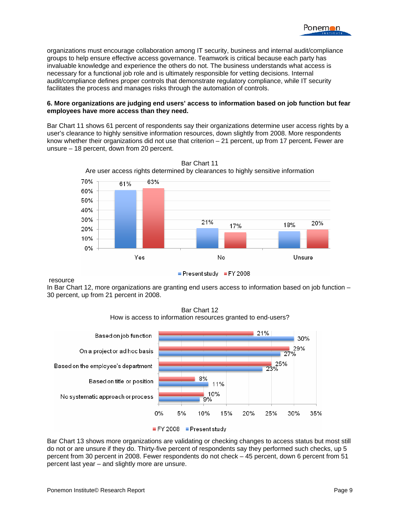

organizations must encourage collaboration among IT security, business and internal audit/compliance groups to help ensure effective access governance. Teamwork is critical because each party has invaluable knowledge and experience the others do not. The business understands what access is necessary for a functional job role and is ultimately responsible for vetting decisions. Internal audit/compliance defines proper controls that demonstrate regulatory compliance, while IT security facilitates the process and manages risks through the automation of controls.

#### **6. More organizations are judging end users' access to information based on job function but fear employees have more access than they need.**

Bar Chart 11 shows 61 percent of respondents say their organizations determine user access rights by a user's clearance to highly sensitive information resources, down slightly from 2008. More respondents know whether their organizations did not use that criterion – 21 percent, up from 17 percent*.* Fewer are unsure – 18 percent, down from 20 percent.



resource

In Bar Chart 12, more organizations are granting end users access to information based on job function – 30 percent, up from 21 percent in 2008.



Bar Chart 12 How is access to information resources granted to end-users?

Bar Chart 13 shows more organizations are validating or checking changes to access status but most still do not or are unsure if they do. Thirty-five percent of respondents say they performed such checks, up 5 percent from 30 percent in 2008. Fewer respondents do not check – 45 percent, down 6 percent from 51 percent last year – and slightly more are unsure.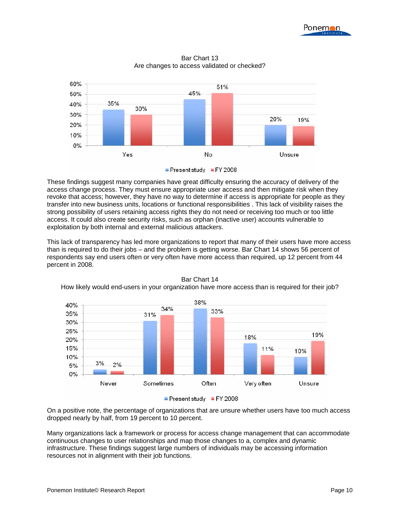



Bar Chart 13 Are changes to access validated or checked?

These findings suggest many companies have great difficulty ensuring the accuracy of delivery of the access change process. They must ensure appropriate user access and then mitigate risk when they revoke that access; however, they have no way to determine if access is appropriate for people as they transfer into new business units, locations or functional responsibilities . This lack of visibility raises the strong possibility of users retaining access rights they do not need or receiving too much or too little access. It could also create security risks, such as orphan (inactive user) accounts vulnerable to exploitation by both internal and external malicious attackers.

This lack of transparency has led more organizations to report that many of their users have more access than is required to do their jobs – and the problem is getting worse. Bar Chart 14 shows 56 percent of respondents say end users often or very often have more access than required, up 12 percent from 44 percent in 2008.



Bar Chart 14 How likely would end-users in your organization have more access than is required for their job?

On a positive note, the percentage of organizations that are unsure whether users have too much access dropped nearly by half, from 19 percent to 10 percent.

Many organizations lack a framework or process for access change management that can accommodate continuous changes to user relationships and map those changes to a, complex and dynamic infrastructure. These findings suggest large numbers of individuals may be accessing information resources not in alignment with their job functions.

Present study FY 2008

Present study FY 2008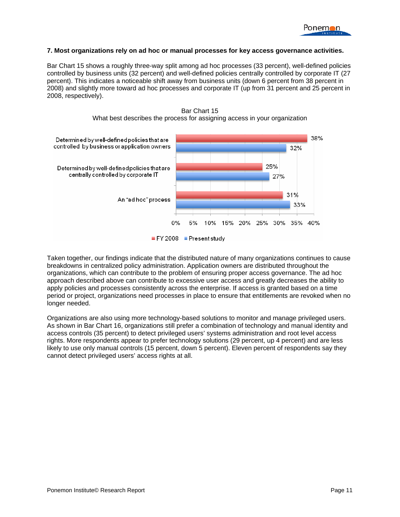

#### **7. Most organizations rely on ad hoc or manual processes for key access governance activities.**

Bar Chart 15 shows a roughly three-way split among ad hoc processes (33 percent), well-defined policies controlled by business units (32 percent) and well-defined policies centrally controlled by corporate IT (27 percent). This indicates a noticeable shift away from business units (down 6 percent from 38 percent in 2008) and slightly more toward ad hoc processes and corporate IT (up from 31 percent and 25 percent in 2008, respectively).





Taken together, our findings indicate that the distributed nature of many organizations continues to cause breakdowns in centralized policy administration. Application owners are distributed throughout the organizations, which can contribute to the problem of ensuring proper access governance. The ad hoc approach described above can contribute to excessive user access and greatly decreases the ability to apply policies and processes consistently across the enterprise. If access is granted based on a time period or project, organizations need processes in place to ensure that entitlements are revoked when no longer needed.

Organizations are also using more technology-based solutions to monitor and manage privileged users. As shown in Bar Chart 16, organizations still prefer a combination of technology and manual identity and access controls (35 percent) to detect privileged users' systems administration and root level access rights. More respondents appear to prefer technology solutions (29 percent, up 4 percent) and are less likely to use only manual controls (15 percent, down 5 percent). Eleven percent of respondents say they cannot detect privileged users' access rights at all.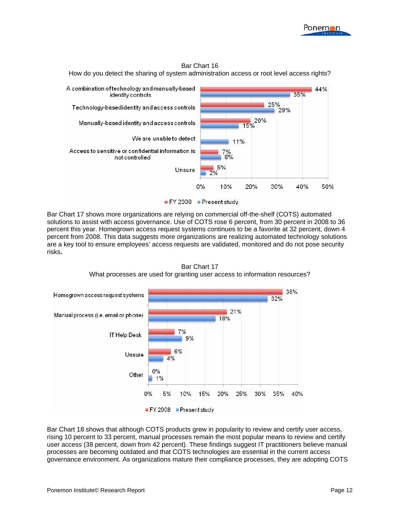

#### Bar Chart 16

How do you detect the sharing of system administration access or root level access rights?



Bar Chart 17 shows more organizations are relying on commercial off-the-shelf (COTS) automated solutions to assist with access governance. Use of COTS rose 6 percent, from 30 percent in 2008 to 36 percent this year. Homegrown access request systems continues to be a favorite at 32 percent, down 4 percent from 2008. This data suggests more organizations are realizing automated technology solutions are a key tool to ensure employees' access requests are validated, monitored and do not pose security risks**.** 



Bar Chart 17 What processes are used for granting user access to information resources?

Bar Chart 18 shows that although COTS products grew in popularity to review and certify user access, rising 10 percent to 33 percent, manual processes remain the most popular means to review and certify user access (38 percent, down from 42 percent). These findings suggest IT practitioners believe manual processes are becoming outdated and that COTS technologies are essential in the current access governance environment. As organizations mature their compliance processes, they are adopting COTS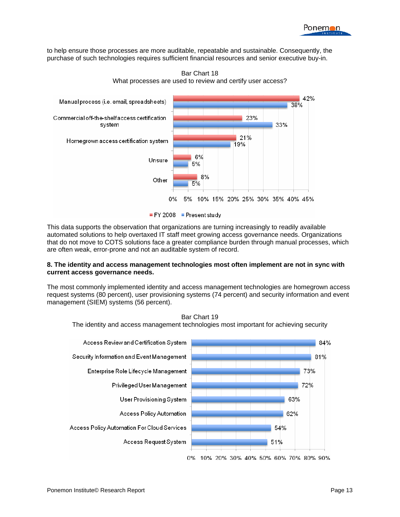to help ensure those processes are more auditable, repeatable and sustainable. Consequently, the purchase of such technologies requires sufficient financial resources and senior executive buy-in.



Bar Chart 18 What processes are used to review and certify user access?

This data supports the observation that organizations are turning increasingly to readily available automated solutions to help overtaxed IT staff meet growing access governance needs. Organizations that do not move to COTS solutions face a greater compliance burden through manual processes, which are often weak, error-prone and not an auditable system of record.

#### **8. The identity and access management technologies most often implement are not in sync with current access governance needs.**

The most commonly implemented identity and access management technologies are homegrown access request systems (80 percent), user provisioning systems (74 percent) and security information and event management (SIEM) systems (56 percent).





FY 2008 Present study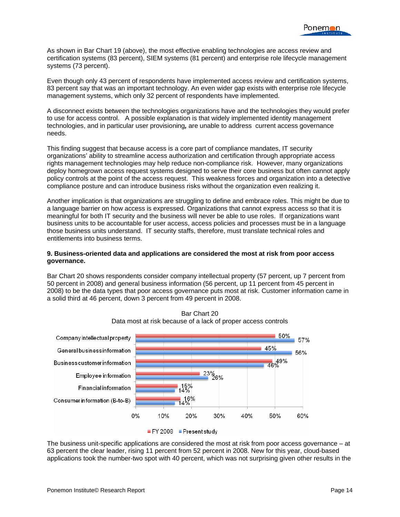As shown in Bar Chart 19 (above), the most effective enabling technologies are access review and certification systems (83 percent), SIEM systems (81 percent) and enterprise role lifecycle management systems (73 percent).

Even though only 43 percent of respondents have implemented access review and certification systems, 83 percent say that was an important technology. An even wider gap exists with enterprise role lifecycle management systems, which only 32 percent of respondents have implemented.

A disconnect exists between the technologies organizations have and the technologies they would prefer to use for access control. A possible explanation is that widely implemented identity management technologies, and in particular user provisioning*,* are unable to address current access governance needs.

This finding suggest that because access is a core part of compliance mandates, IT security organizations' ability to streamline access authorization and certification through appropriate access rights management technologies may help reduce non-compliance risk. However, many organizations deploy homegrown access request systems designed to serve their core business but often cannot apply policy controls at the point of the access request. This weakness forces and organization into a detective compliance posture and can introduce business risks without the organization even realizing it.

Another implication is that organizations are struggling to define and embrace roles. This might be due to a language barrier on how access is expressed. Organizations that cannot express access so that it is meaningful for both IT security and the business will never be able to use roles. If organizations want business units to be accountable for user access, access policies and processes must be in a language those business units understand. IT security staffs, therefore, must translate technical roles and entitlements into business terms.

#### **9. Business-oriented data and applications are considered the most at risk from poor access governance.**

Bar Chart 20 shows respondents consider company intellectual property (57 percent, up 7 percent from 50 percent in 2008) and general business information (56 percent, up 11 percent from 45 percent in 2008) to be the data types that poor access governance puts most at risk. Customer information came in a solid third at 46 percent, down 3 percent from 49 percent in 2008.





The business unit-specific applications are considered the most at risk from poor access governance – at 63 percent the clear leader, rising 11 percent from 52 percent in 2008. New for this year, cloud-based applications took the number-two spot with 40 percent, which was not surprising given other results in the

FY 2008 Present study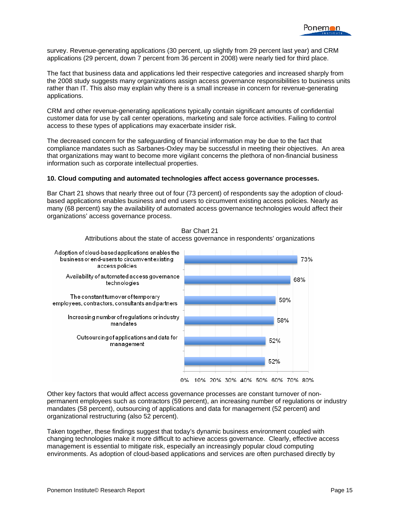survey. Revenue-generating applications (30 percent, up slightly from 29 percent last year) and CRM applications (29 percent, down 7 percent from 36 percent in 2008) were nearly tied for third place.

The fact that business data and applications led their respective categories and increased sharply from the 2008 study suggests many organizations assign access governance responsibilities to business units rather than IT. This also may explain why there is a small increase in concern for revenue-generating applications.

CRM and other revenue-generating applications typically contain significant amounts of confidential customer data for use by call center operations, marketing and sale force activities. Failing to control access to these types of applications may exacerbate insider risk.

The decreased concern for the safeguarding of financial information may be due to the fact that compliance mandates such as Sarbanes-Oxley may be successful in meeting their objectives. An area that organizations may want to become more vigilant concerns the plethora of non-financial business information such as corporate intellectual properties.

#### **10. Cloud computing and automated technologies affect access governance processes.**

Bar Chart 21 shows that nearly three out of four (73 percent) of respondents say the adoption of cloudbased applications enables business and end users to circumvent existing access policies. Nearly as many (68 percent) say the availability of automated access governance technologies would affect their organizations' access governance process.



Bar Chart 21

Attributions about the state of access governance in respondents' organizations

Other key factors that would affect access governance processes are constant turnover of nonpermanent employees such as contractors (59 percent), an increasing number of regulations or industry mandates (58 percent), outsourcing of applications and data for management (52 percent) and organizational restructuring (also 52 percent).

Taken together, these findings suggest that today's dynamic business environment coupled with changing technologies make it more difficult to achieve access governance. Clearly, effective access management is essential to mitigate risk, especially an increasingly popular cloud computing environments. As adoption of cloud-based applications and services are often purchased directly by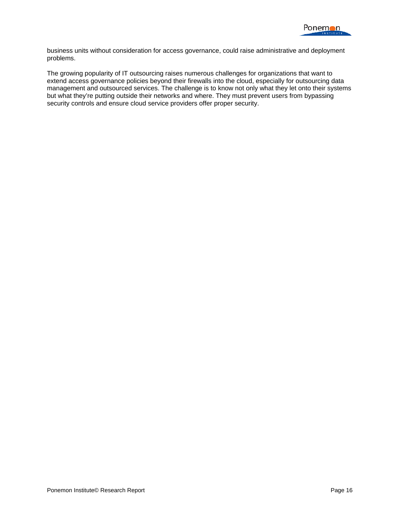

business units without consideration for access governance, could raise administrative and deployment problems.

The growing popularity of IT outsourcing raises numerous challenges for organizations that want to extend access governance policies beyond their firewalls into the cloud, especially for outsourcing data management and outsourced services. The challenge is to know not only what they let onto their systems but what they're putting outside their networks and where. They must prevent users from bypassing security controls and ensure cloud service providers offer proper security.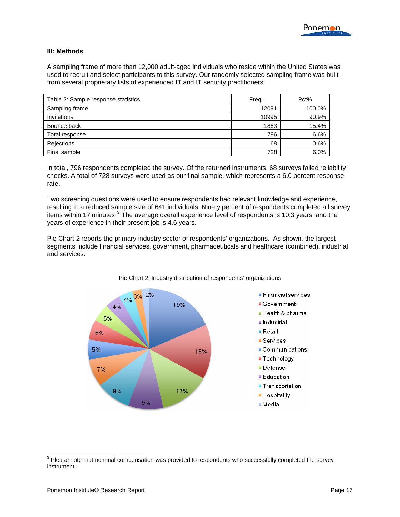#### **III: Methods**

A sampling frame of more than 12,000 adult-aged individuals who reside within the United States was used to recruit and select participants to this survey. Our randomly selected sampling frame was built from several proprietary lists of experienced IT and IT security practitioners.

| Table 2: Sample response statistics | Freq. | Pct%   |
|-------------------------------------|-------|--------|
| Sampling frame                      | 12091 | 100.0% |
| <b>Invitations</b>                  | 10995 | 90.9%  |
| Bounce back                         | 1863  | 15.4%  |
| Total response                      | 796   | 6.6%   |
| Rejections                          | 68    | 0.6%   |
| Final sample                        | 728   | 6.0%   |

In total, 796 respondents completed the survey. Of the returned instruments, 68 surveys failed reliability checks. A total of 728 surveys were used as our final sample, which represents a 6.0 percent response rate.

Two screening questions were used to ensure respondents had relevant knowledge and experience, resulting in a reduced sample size of 641 individuals. Ninety percent of respondents completed all survey items within 17 minutes.<sup>[3](#page-17-0)</sup> The average overall experience level of respondents is 10.3 years, and the years of experience in their present job is 4.6 years.

Pie Chart 2 reports the primary industry sector of respondents' organizations. As shown, the largest segments include financial services, government, pharmaceuticals and healthcare (combined), industrial and services.



Pie Chart 2: Industry distribution of respondents' organizations

<span id="page-17-0"></span> 3 Please note that nominal compensation was provided to respondents who successfully completed the survey instrument.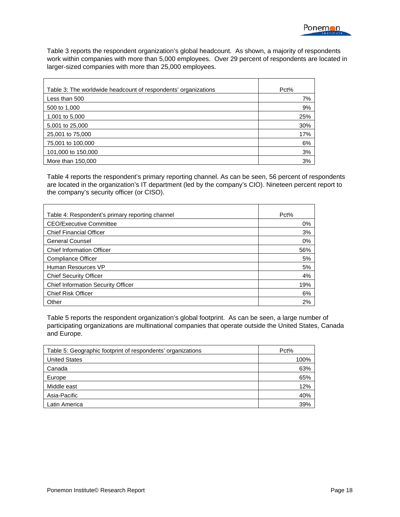Table 3 reports the respondent organization's global headcount. As shown, a majority of respondents work within companies with more than 5,000 employees. Over 29 percent of respondents are located in larger-sized companies with more than 25,000 employees.

| Table 3: The worldwide headcount of respondents' organizations | Pct% |
|----------------------------------------------------------------|------|
| Less than 500                                                  | 7%   |
| 500 to 1,000                                                   | 9%   |
| 1,001 to 5,000                                                 | 25%  |
| 5,001 to 25,000                                                | 30%  |
| 25,001 to 75,000                                               | 17%  |
| 75,001 to 100,000                                              | 6%   |
| 101,000 to 150,000                                             | 3%   |
| More than 150,000                                              | 3%   |

Table 4 reports the respondent's primary reporting channel. As can be seen, 56 percent of respondents are located in the organization's IT department (led by the company's CIO). Nineteen percent report to the company's security officer (or CISO).

| Table 4: Respondent's primary reporting channel | Pct% |
|-------------------------------------------------|------|
| <b>CEO/Executive Committee</b>                  | 0%   |
| <b>Chief Financial Officer</b>                  | 3%   |
| <b>General Counsel</b>                          | 0%   |
| <b>Chief Information Officer</b>                | 56%  |
| Compliance Officer                              | 5%   |
| Human Resources VP                              | 5%   |
| <b>Chief Security Officer</b>                   | 4%   |
| <b>Chief Information Security Officer</b>       | 19%  |
| <b>Chief Risk Officer</b>                       | 6%   |
| Other                                           | 2%   |

Table 5 reports the respondent organization's global footprint. As can be seen, a large number of participating organizations are multinational companies that operate outside the United States, Canada and Europe.

| Table 5: Geographic footprint of respondents' organizations | Pct% |
|-------------------------------------------------------------|------|
| <b>United States</b>                                        | 100% |
| Canada                                                      | 63%  |
| Europe                                                      | 65%  |
| Middle east                                                 | 12%  |
| Asia-Pacific                                                | 40%  |
| Latin America                                               | 39%  |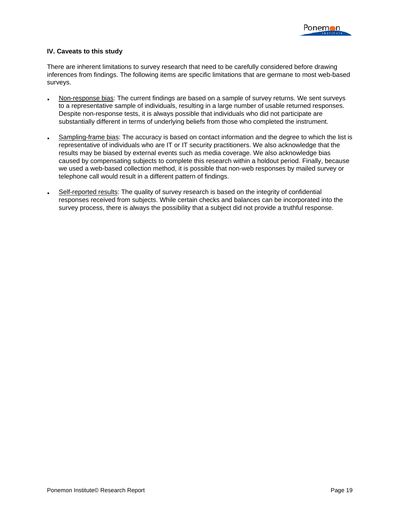#### **IV. Caveats to this study**

There are inherent limitations to survey research that need to be carefully considered before drawing inferences from findings. The following items are specific limitations that are germane to most web-based surveys.

- Non-response bias: The current findings are based on a sample of survey returns. We sent surveys to a representative sample of individuals, resulting in a large number of usable returned responses. Despite non-response tests, it is always possible that individuals who did not participate are substantially different in terms of underlying beliefs from those who completed the instrument.
- Sampling-frame bias: The accuracy is based on contact information and the degree to which the list is representative of individuals who are IT or IT security practitioners. We also acknowledge that the results may be biased by external events such as media coverage. We also acknowledge bias caused by compensating subjects to complete this research within a holdout period. Finally, because we used a web-based collection method, it is possible that non-web responses by mailed survey or telephone call would result in a different pattern of findings.
- Self-reported results: The quality of survey research is based on the integrity of confidential responses received from subjects. While certain checks and balances can be incorporated into the survey process, there is always the possibility that a subject did not provide a truthful response.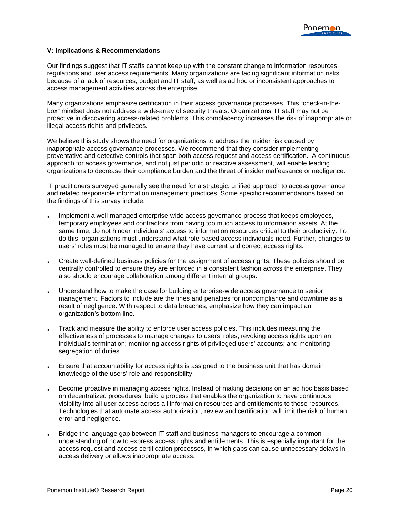#### **V: Implications & Recommendations**

Our findings suggest that IT staffs cannot keep up with the constant change to information resources, regulations and user access requirements. Many organizations are facing significant information risks because of a lack of resources, budget and IT staff, as well as ad hoc or inconsistent approaches to access management activities across the enterprise.

Many organizations emphasize certification in their access governance processes. This "check-in-thebox" mindset does not address a wide-array of security threats. Organizations' IT staff may not be proactive in discovering access-related problems. This complacency increases the risk of inappropriate or illegal access rights and privileges.

We believe this study shows the need for organizations to address the insider risk caused by inappropriate access governance processes. We recommend that they consider implementing preventative and detective controls that span both access request and access certification. A continuous approach for access governance, and not just periodic or reactive assessment, will enable leading organizations to decrease their compliance burden and the threat of insider malfeasance or negligence.

IT practitioners surveyed generally see the need for a strategic, unified approach to access governance and related responsible information management practices. Some specific recommendations based on the findings of this survey include:

- Implement a well-managed enterprise-wide access governance process that keeps employees, temporary employees and contractors from having too much access to information assets. At the same time, do not hinder individuals' access to information resources critical to their productivity. To do this, organizations must understand what role-based access individuals need. Further, changes to users' roles must be managed to ensure they have current and correct access rights.
- Create well-defined business policies for the assignment of access rights. These policies should be centrally controlled to ensure they are enforced in a consistent fashion across the enterprise. They also should encourage collaboration among different internal groups.
- Understand how to make the case for building enterprise-wide access governance to senior management. Factors to include are the fines and penalties for noncompliance and downtime as a result of negligence. With respect to data breaches, emphasize how they can impact an organization's bottom line.
- Track and measure the ability to enforce user access policies. This includes measuring the effectiveness of processes to manage changes to users' roles; revoking access rights upon an individual's termination; monitoring access rights of privileged users' accounts; and monitoring segregation of duties.
- Ensure that accountability for access rights is assigned to the business unit that has domain knowledge of the users' role and responsibility.
- Become proactive in managing access rights. Instead of making decisions on an ad hoc basis based on decentralized procedures, build a process that enables the organization to have continuous visibility into all user access across all information resources and entitlements to those resources. Technologies that automate access authorization, review and certification will limit the risk of human error and negligence.
- Bridge the language gap between IT staff and business managers to encourage a common understanding of how to express access rights and entitlements. This is especially important for the access request and access certification processes, in which gaps can cause unnecessary delays in access delivery or allows inappropriate access.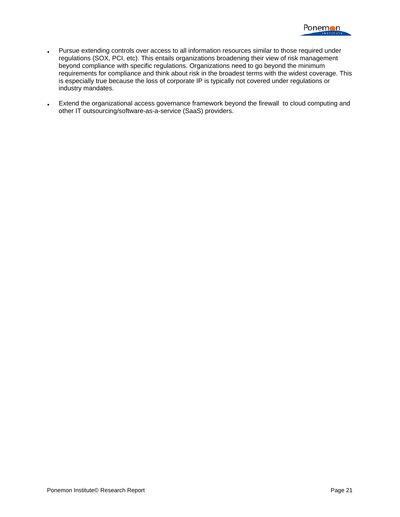

- Pursue extending controls over access to all information resources similar to those required under regulations (SOX, PCI, etc). This entails organizations broadening their view of risk management beyond compliance with specific regulations. Organizations need to go beyond the minimum requirements for compliance and think about risk in the broadest terms with the widest coverage. This is especially true because the loss of corporate IP is typically not covered under regulations or industry mandates.
- Extend the organizational access governance framework beyond the firewall to cloud computing and other IT outsourcing/software-as-a-service (SaaS) providers.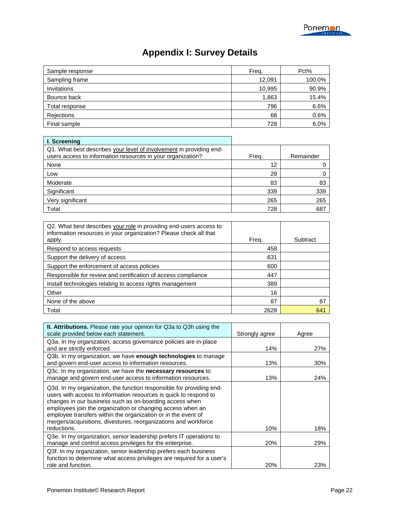## **Appendix I: Survey Details**

| Sample response | Freq.  | Pct%   |
|-----------------|--------|--------|
| Sampling frame  | 12,091 | 100.0% |
| Invitations     | 10,995 | 90.9%  |
| Bounce back     | 1,863  | 15.4%  |
| Total response  | 796    | 6.6%   |
| Rejections      | 68     | 0.6%   |
| Final sample    | 728    | 6.0%   |

| I. Screening                                                                                                                       |       |           |
|------------------------------------------------------------------------------------------------------------------------------------|-------|-----------|
| Q1. What best describes your level of involvement in providing end-<br>users access to information resources in your organization? | Frea. | Remainder |
| None                                                                                                                               | 12    |           |
| Low                                                                                                                                | 29    |           |
| Moderate                                                                                                                           | 83    | 83        |
| Significant                                                                                                                        | 339   | 339       |
| Very significant                                                                                                                   | 265   | 265       |
| Total                                                                                                                              | 728   | 687       |

| Q2. What best describes your role in providing end-users access to<br>information resources in your organization? Please check all that<br>apply. | Frea. | Subtract |
|---------------------------------------------------------------------------------------------------------------------------------------------------|-------|----------|
| Respond to access requests                                                                                                                        | 458   |          |
| Support the delivery of access                                                                                                                    | 631   |          |
| Support the enforcement of access policies                                                                                                        | 600   |          |
| Responsible for review and certification of access compliance                                                                                     | 447   |          |
| Install technologies relating to access rights management                                                                                         | 389   |          |
| Other                                                                                                                                             | 16    |          |
| None of the above                                                                                                                                 | 87    | 87       |
| Total                                                                                                                                             | 2628  | 641      |

| II. Attributions. Please rate your opinion for Q3a to Q3h using the<br>scale provided below each statement.                                                                                                                                                                                                                                                                                                           | Strongly agree | Agree      |
|-----------------------------------------------------------------------------------------------------------------------------------------------------------------------------------------------------------------------------------------------------------------------------------------------------------------------------------------------------------------------------------------------------------------------|----------------|------------|
| Q3a. In my organization, access governance policies are in-place<br>and are strictly enforced.                                                                                                                                                                                                                                                                                                                        | 14%            | 27%        |
| Q3b. In my organization, we have enough technologies to manage<br>and govern end-user access to information resources.                                                                                                                                                                                                                                                                                                | 13%            | 30%        |
| Q3c. In my organization, we have the <b>necessary resources</b> to<br>manage and govern end-user access to information resources.                                                                                                                                                                                                                                                                                     | 13%            | <b>24%</b> |
| Q3d. In my organization, the function responsible for providing end-<br>users with access to information resources is quick to respond to<br>changes in our business such as on-boarding access when<br>employees join the organization or changing access when an<br>employee transfers within the organization or in the event of<br>mergers/acquisitions, divestures, reorganizations and workforce<br>reductions. | 10%            | 18%        |
| Q3e. In my organization, senior leadership prefers IT operations to                                                                                                                                                                                                                                                                                                                                                   |                |            |
| manage and control access privileges for the enterprise.                                                                                                                                                                                                                                                                                                                                                              | 20%            | <b>29%</b> |
| Q3f. In my organization, senior leadership prefers each business<br>function to determine what access privileges are required for a user's<br>role and function.                                                                                                                                                                                                                                                      | <b>20%</b>     | 23%        |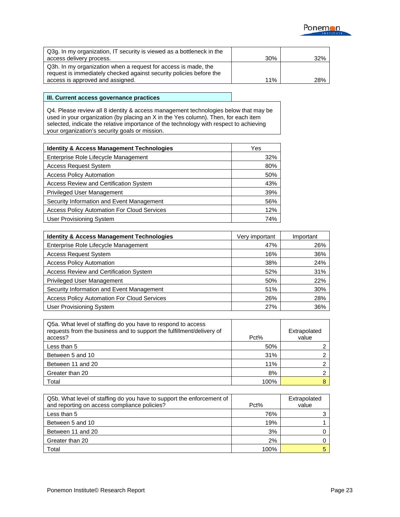

| Q3g. In my organization, IT security is viewed as a bottleneck in the                                                                 |     |     |
|---------------------------------------------------------------------------------------------------------------------------------------|-----|-----|
| access delivery process.                                                                                                              | 30% | 32% |
| Q3h. In my organization when a request for access is made, the<br>request is immediately checked against security policies before the |     |     |
| access is approved and assigned.                                                                                                      | 11% | 28% |

#### **III. Current access governance practices**

Q4. Please review all 8 identity & access management technologies below that may be used in your organization (by placing an X in the Yes column). Then, for each item selected, indicate the relative importance of the technology with respect to achieving your organization's security goals or mission.

| <b>Identity &amp; Access Management Technologies</b> | Yes |
|------------------------------------------------------|-----|
| Enterprise Role Lifecycle Management                 | 32% |
| <b>Access Request System</b>                         | 80% |
| <b>Access Policy Automation</b>                      | 50% |
| <b>Access Review and Certification System</b>        | 43% |
| <b>Privileged User Management</b>                    | 39% |
| Security Information and Event Management            | 56% |
| <b>Access Policy Automation For Cloud Services</b>   | 12% |
| <b>User Provisioning System</b>                      | 74% |

| <b>Identity &amp; Access Management Technologies</b> | Very important | Important |
|------------------------------------------------------|----------------|-----------|
| Enterprise Role Lifecycle Management                 | 47%            | 26%       |
| <b>Access Request System</b>                         | 16%            | 36%       |
| <b>Access Policy Automation</b>                      | 38%            | 24%       |
| Access Review and Certification System               | 52%            | 31%       |
| <b>Privileged User Management</b>                    | 50%            | 22%       |
| Security Information and Event Management            | 51%            | 30%       |
| <b>Access Policy Automation For Cloud Services</b>   | 26%            | 28%       |
| <b>User Provisioning System</b>                      | 27%            | 36%       |

| Q5a. What level of staffing do you have to respond to access<br>requests from the business and to support the fulfillment/delivery of<br>access? | Pct% | Extrapolated<br>value |
|--------------------------------------------------------------------------------------------------------------------------------------------------|------|-----------------------|
| Less than 5                                                                                                                                      | 50%  |                       |
| Between 5 and 10                                                                                                                                 | 31%  |                       |
| Between 11 and 20                                                                                                                                | 11%  |                       |
| Greater than 20                                                                                                                                  | 8%   |                       |
| Total                                                                                                                                            | 100% |                       |

| Q5b. What level of staffing do you have to support the enforcement of<br>and reporting on access compliance policies? | Pct% | Extrapolated<br>value |
|-----------------------------------------------------------------------------------------------------------------------|------|-----------------------|
| Less than 5                                                                                                           | 76%  |                       |
| Between 5 and 10                                                                                                      | 19%  |                       |
| Between 11 and 20                                                                                                     | 3%   |                       |
| Greater than 20                                                                                                       | 2%   |                       |
| Total                                                                                                                 | 100% |                       |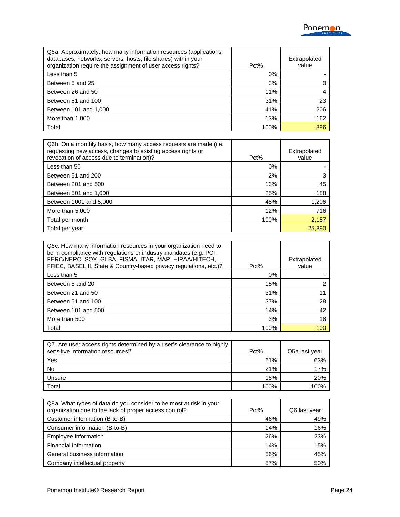

| Q6a. Approximately, how many information resources (applications,<br>databases, networks, servers, hosts, file shares) within your<br>organization require the assignment of user access rights? | Pct%  | Extrapolated<br>value |
|--------------------------------------------------------------------------------------------------------------------------------------------------------------------------------------------------|-------|-----------------------|
| Less than 5                                                                                                                                                                                      | $0\%$ |                       |
| Between 5 and 25                                                                                                                                                                                 | 3%    |                       |
| Between 26 and 50                                                                                                                                                                                | 11%   |                       |
| Between 51 and 100                                                                                                                                                                               | 31%   | 23                    |
| Between 101 and 1,000                                                                                                                                                                            | 41%   | 206                   |
| More than 1,000                                                                                                                                                                                  | 13%   | 162                   |
| Total                                                                                                                                                                                            | 100%  | 396                   |

| Q6b. On a monthly basis, how many access requests are made (i.e.<br>requesting new access, changes to existing access rights or<br>revocation of access due to termination)? | Pct% | Extrapolated<br>value |
|------------------------------------------------------------------------------------------------------------------------------------------------------------------------------|------|-----------------------|
| Less than 50                                                                                                                                                                 | 0%   |                       |
| Between 51 and 200                                                                                                                                                           | 2%   | 3                     |
| Between 201 and 500                                                                                                                                                          | 13%  | 45                    |
| Between 501 and 1,000                                                                                                                                                        | 25%  | 188                   |
| Between 1001 and 5,000                                                                                                                                                       | 48%  | 1,206                 |
| More than 5,000                                                                                                                                                              | 12%  | 716                   |
| Total per month                                                                                                                                                              | 100% | 2,157                 |
| Total per year                                                                                                                                                               |      | 25,890                |

| Q6c. How many information resources in your organization need to<br>be in compliance with regulations or industry mandates (e.g. PCI,<br>FERC/NERC, SOX, GLBA, FISMA, ITAR, MAR, HIPAA/HITECH,<br>FFIEC, BASEL II, State & Country-based privacy regulations, etc.)? | $Pct\%$ | Extrapolated<br>value |
|----------------------------------------------------------------------------------------------------------------------------------------------------------------------------------------------------------------------------------------------------------------------|---------|-----------------------|
| Less than 5                                                                                                                                                                                                                                                          | $0\%$   |                       |
| Between 5 and 20                                                                                                                                                                                                                                                     | 15%     | 2                     |
| Between 21 and 50                                                                                                                                                                                                                                                    | 31%     |                       |
| Between 51 and 100                                                                                                                                                                                                                                                   | 37%     | 28                    |
| Between 101 and 500                                                                                                                                                                                                                                                  | 14%     | 42                    |
| More than 500                                                                                                                                                                                                                                                        | 3%      | 18                    |
| Total                                                                                                                                                                                                                                                                | 100%    | 100                   |

| Q7. Are user access rights determined by a user's clearance to highly<br>sensitive information resources? | Pct% | Q5a last year |
|-----------------------------------------------------------------------------------------------------------|------|---------------|
| <b>Yes</b>                                                                                                | 61%  | 63%           |
| No                                                                                                        | 21%  | 17%           |
| Unsure                                                                                                    | 18%  | 20%           |
| Total                                                                                                     | 100% | 100%          |

| Q8a. What types of data do you consider to be most at risk in your<br>organization due to the lack of proper access control? | Pct% | Q6 last year |
|------------------------------------------------------------------------------------------------------------------------------|------|--------------|
| Customer information (B-to-B)                                                                                                | 46%  | 49%          |
| Consumer information (B-to-B)                                                                                                | 14%  | 16%          |
| Employee information                                                                                                         | 26%  | 23%          |
| Financial information                                                                                                        | 14%  | 15%          |
| General business information                                                                                                 | 56%  | 45%          |
| Company intellectual property                                                                                                | 57%  | 50%          |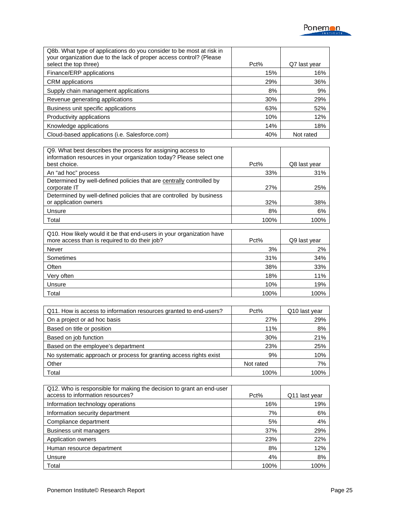| Q8b. What type of applications do you consider to be most at risk in<br>your organization due to the lack of proper access control? (Please |         |                 |
|---------------------------------------------------------------------------------------------------------------------------------------------|---------|-----------------|
| select the top three)                                                                                                                       | $Pct\%$ | Q7<br>last year |
| Finance/ERP applications                                                                                                                    | 15%     | 16%             |
| <b>CRM</b> applications                                                                                                                     | 29%     | 36%             |
| Supply chain management applications                                                                                                        | 8%      | 9%              |
| Revenue generating applications                                                                                                             | 30%     | 29%             |
| Business unit specific applications                                                                                                         | 63%     | 52%             |
| Productivity applications                                                                                                                   | 10%     | 12%             |
| Knowledge applications                                                                                                                      | 14%     | 18%             |
| Cloud-based applications (i.e. Salesforce.com)                                                                                              | 40%     | Not rated       |

| Q9. What best describes the process for assigning access to<br>information resources in your organization today? Please select one |            |              |
|------------------------------------------------------------------------------------------------------------------------------------|------------|--------------|
| best choice.                                                                                                                       | Pct%       | Q8 last year |
| An "ad hoc" process                                                                                                                | 33%        | 31%          |
| Determined by well-defined policies that are centrally controlled by<br>corporate IT                                               | <b>27%</b> | 25%          |
| Determined by well-defined policies that are controlled by business                                                                |            |              |
| or application owners                                                                                                              | 32%        | 38%          |
| Unsure                                                                                                                             | 8%         | 6%           |
| Total                                                                                                                              | 100%       | 100%         |

| Q10. How likely would it be that end-users in your organization have<br>more access than is required to do their job? | Pct% | Q9 last year |
|-----------------------------------------------------------------------------------------------------------------------|------|--------------|
| Never                                                                                                                 | 3%   | 2%           |
| Sometimes                                                                                                             | 31%  | 34%          |
| Often                                                                                                                 | 38%  | 33%          |
| Very often                                                                                                            | 18%  | 11%          |
| Unsure                                                                                                                | 10%  | 19%          |
| Total                                                                                                                 | 100% | 100%         |

| Q11. How is access to information resources granted to end-users?  | Pct%      | Q <sub>10</sub> last year |
|--------------------------------------------------------------------|-----------|---------------------------|
| On a project or ad hoc basis                                       | 27%       | 29%                       |
| Based on title or position                                         | 11%       | 8%                        |
| Based on job function                                              | 30%       | 21%                       |
| Based on the employee's department                                 | 23%       | 25%                       |
| No systematic approach or process for granting access rights exist | 9%        | 10%                       |
| Other                                                              | Not rated | 7%                        |
| Total                                                              | 100%      | 100%                      |

| Q12. Who is responsible for making the decision to grant an end-user<br>access to information resources? | $Pct\%$ | Q11 last year |
|----------------------------------------------------------------------------------------------------------|---------|---------------|
| Information technology operations                                                                        | 16%     | 19%           |
| Information security department                                                                          | 7%      | 6%            |
| Compliance department                                                                                    | 5%      | 4%            |
| Business unit managers                                                                                   | 37%     | 29%           |
| Application owners                                                                                       | 23%     | 22%           |
| Human resource department                                                                                | 8%      | 12%           |
| Unsure                                                                                                   | 4%      | 8%            |
| Total                                                                                                    | 100%    | 100%          |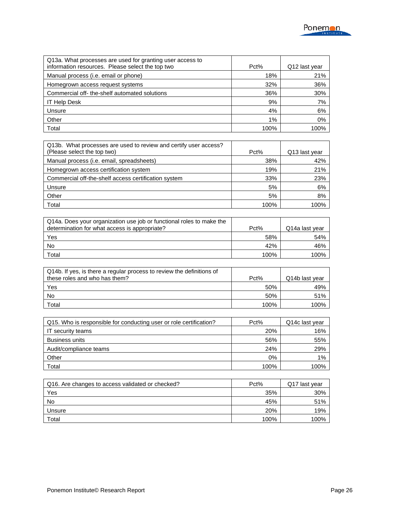| Q13a. What processes are used for granting user access to<br>information resources. Please select the top two | Pct% | Q12 last year |
|---------------------------------------------------------------------------------------------------------------|------|---------------|
| Manual process ( <i>i.e.</i> email or phone)                                                                  | 18%  | 21%           |
| Homegrown access request systems                                                                              | 32%  | 36%           |
| Commercial off-the-shelf automated solutions                                                                  | 36%  | 30%           |
| <b>IT Help Desk</b>                                                                                           | 9%   | 7%            |
| Unsure                                                                                                        | 4%   | 6%            |
| Other                                                                                                         | 1%   | 0%            |
| Total                                                                                                         | 100% | 100%          |

| Q13b. What processes are used to review and certify user access?<br>(Please select the top two) | $Pct\%$ | Q13 last year |
|-------------------------------------------------------------------------------------------------|---------|---------------|
| Manual process ( <i>i.e.</i> email, spreadsheets)                                               | 38%     | 42%           |
| Homegrown access certification system                                                           | 19%     | 21%           |
| Commercial off-the-shelf access certification system                                            | 33%     | 23%           |
| Unsure                                                                                          | 5%      | 6%            |
| Other                                                                                           | 5%      | 8%            |
| Total                                                                                           | 100%    | 100%          |

| Q14a. Does your organization use job or functional roles to make the<br>determination for what access is appropriate? | Pct% | Q14a last year |
|-----------------------------------------------------------------------------------------------------------------------|------|----------------|
| Yes                                                                                                                   | 58%  | 54%            |
| No                                                                                                                    | 42%  | 46%            |
| Total                                                                                                                 | 100% | 100%           |

| Q14b. If yes, is there a regular process to review the definitions of<br>these roles and who has them? | Pct% | Q14b last year |
|--------------------------------------------------------------------------------------------------------|------|----------------|
|                                                                                                        |      |                |
| Yes                                                                                                    | 50%  | 49%            |
| No                                                                                                     | 50%  | 51%            |
| Total                                                                                                  | 100% | 100%           |

| Q15. Who is responsible for conducting user or role certification? | $Pct\%$ | Q14c last year |
|--------------------------------------------------------------------|---------|----------------|
| IT security teams                                                  | 20%     | 16%            |
| <b>Business units</b>                                              | 56%     | 55%            |
| Audit/compliance teams                                             | 24%     | 29%            |
| Other                                                              | 0%      | $1\%$          |
| Total                                                              | 100%    | 100%           |

| Q16. Are changes to access validated or checked? | Pct% | Q17 last year |
|--------------------------------------------------|------|---------------|
| Yes                                              | 35%  | 30%           |
| No                                               | 45%  | 51%           |
| Unsure                                           | 20%  | 19%           |
| Total                                            | 100% | 100%          |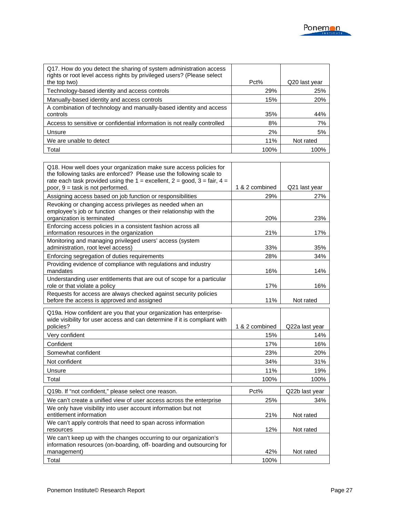| Q17. How do you detect the sharing of system administration access<br>rights or root level access rights by privileged users? (Please select |      |               |
|----------------------------------------------------------------------------------------------------------------------------------------------|------|---------------|
| the top two)                                                                                                                                 | Pct% | Q20 last year |
| Technology-based identity and access controls                                                                                                | 29%  | 25%           |
| Manually-based identity and access controls                                                                                                  | 15%  | 20%           |
| A combination of technology and manually-based identity and access                                                                           |      |               |
| controls                                                                                                                                     | 35%  | 44%           |
| Access to sensitive or confidential information is not really controlled                                                                     | 8%   | 7%            |
| Unsure                                                                                                                                       | 2%   | 5%            |
| We are unable to detect                                                                                                                      | 11%  | Not rated     |
| Total                                                                                                                                        | 100% | 100%          |

| Q18. How well does your organization make sure access policies for<br>the following tasks are enforced? Please use the following scale to<br>rate each task provided using the $1 =$ excellent, $2 =$ good, $3 =$ fair, $4 =$<br>poor, 9 = task is not performed. | 1 & 2 combined | Q21 last year  |
|-------------------------------------------------------------------------------------------------------------------------------------------------------------------------------------------------------------------------------------------------------------------|----------------|----------------|
| Assigning access based on job function or responsibilities                                                                                                                                                                                                        | 29%            | 27%            |
| Revoking or changing access privileges as needed when an<br>employee's job or function changes or their relationship with the<br>organization is terminated                                                                                                       | 20%            | 23%            |
| Enforcing access policies in a consistent fashion across all<br>information resources in the organization                                                                                                                                                         | 21%            | 17%            |
| Monitoring and managing privileged users' access (system<br>administration, root level access)                                                                                                                                                                    | 33%            | 35%            |
| Enforcing segregation of duties requirements                                                                                                                                                                                                                      | 28%            | 34%            |
| Providing evidence of compliance with regulations and industry<br>mandates                                                                                                                                                                                        | 16%            | 14%            |
| Understanding user entitlements that are out of scope for a particular<br>role or that violate a policy                                                                                                                                                           | 17%            | 16%            |
| Requests for access are always checked against security policies<br>before the access is approved and assigned                                                                                                                                                    | 11%            | Not rated      |
| Q19a. How confident are you that your organization has enterprise-<br>wide visibility for user access and can determine if it is compliant with<br>policies?                                                                                                      | 1 & 2 combined | Q22a last year |
| Very confident                                                                                                                                                                                                                                                    | 15%            | 14%            |
| Confident                                                                                                                                                                                                                                                         | 17%            | 16%            |
| Somewhat confident                                                                                                                                                                                                                                                | 23%            | 20%            |
| Not confident                                                                                                                                                                                                                                                     | 34%            | 31%            |
| Unsure                                                                                                                                                                                                                                                            | 11%            | 19%            |
| Total                                                                                                                                                                                                                                                             | 100%           | 100%           |
| Q19b. If "not confident," please select one reason.                                                                                                                                                                                                               | Pct%           | Q22b last year |
| We can't create a unified view of user access across the enterprise                                                                                                                                                                                               | 25%            | 34%            |
| We only have visibility into user account information but not<br>entitlement information                                                                                                                                                                          | 21%            | Not rated      |
| We can't apply controls that need to span across information<br>resources                                                                                                                                                                                         | 12%            | Not rated      |
| We can't keep up with the changes occurring to our organization's<br>information resources (on-boarding, off- boarding and outsourcing for<br>management)                                                                                                         | 42%            | Not rated      |
| Total                                                                                                                                                                                                                                                             | 100%           |                |
|                                                                                                                                                                                                                                                                   |                |                |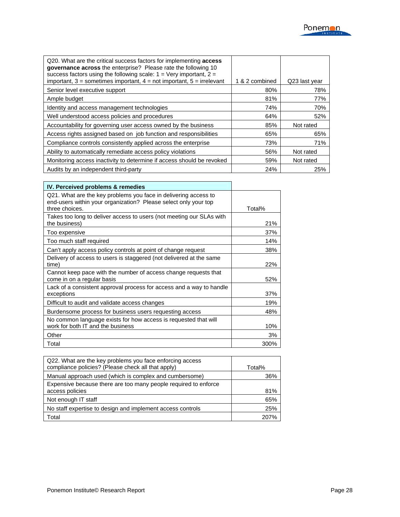| Q20. What are the critical success factors for implementing <b>access</b><br><b>governance across</b> the enterprise? Please rate the following 10<br>success factors using the following scale: $1 = \text{Verv important}$ , $2 =$<br>important, $3$ = sometimes important, $4$ = not important, $5$ = irrelevant | 1 & 2 combined | Q23 last year |
|---------------------------------------------------------------------------------------------------------------------------------------------------------------------------------------------------------------------------------------------------------------------------------------------------------------------|----------------|---------------|
| Senior level executive support                                                                                                                                                                                                                                                                                      | 80%            | 78%           |
| Ample budget                                                                                                                                                                                                                                                                                                        | 81%            | 77%           |
| Identity and access management technologies                                                                                                                                                                                                                                                                         | 74%            | 70%           |
| Well understood access policies and procedures                                                                                                                                                                                                                                                                      | 64%            | 52%           |
| Accountability for governing user access owned by the business                                                                                                                                                                                                                                                      | 85%            | Not rated     |
| Access rights assigned based on job function and responsibilities                                                                                                                                                                                                                                                   | 65%            | 65%           |
| Compliance controls consistently applied across the enterprise                                                                                                                                                                                                                                                      | 73%            | 71%           |
| Ability to automatically remediate access policy violations                                                                                                                                                                                                                                                         | 56%            | Not rated     |
| Monitoring access inactivity to determine if access should be revoked                                                                                                                                                                                                                                               | 59%            | Not rated     |
| Audits by an independent third-party                                                                                                                                                                                                                                                                                | 24%            | 25%           |

| IV. Perceived problems & remedies                                                                                                                    |        |
|------------------------------------------------------------------------------------------------------------------------------------------------------|--------|
| Q21. What are the key problems you face in delivering access to<br>end-users within your organization? Please select only your top<br>three choices. | Total% |
| Takes too long to deliver access to users (not meeting our SLAs with<br>the business)                                                                | 21%    |
| Too expensive                                                                                                                                        | 37%    |
| Too much staff required                                                                                                                              | 14%    |
| Can't apply access policy controls at point of change request                                                                                        | 38%    |
| Delivery of access to users is staggered (not delivered at the same<br>time)                                                                         | 22%    |
| Cannot keep pace with the number of access change requests that<br>come in on a regular basis                                                        | 52%    |
| Lack of a consistent approval process for access and a way to handle<br>exceptions                                                                   | 37%    |
| Difficult to audit and validate access changes                                                                                                       | 19%    |
| Burdensome process for business users requesting access                                                                                              | 48%    |
| No common language exists for how access is requested that will<br>work for both IT and the business                                                 | 10%    |
| Other                                                                                                                                                | 3%     |
| Total                                                                                                                                                | 300%   |

| Q22. What are the key problems you face enforcing access<br>compliance policies? (Please check all that apply) | Total% |
|----------------------------------------------------------------------------------------------------------------|--------|
| Manual approach used (which is complex and cumbersome)                                                         | 36%    |
| Expensive because there are too many people required to enforce<br>access policies                             | 81%    |
| Not enough IT staff                                                                                            | 65%    |
| No staff expertise to design and implement access controls                                                     | 25%    |
| Total                                                                                                          | 207%   |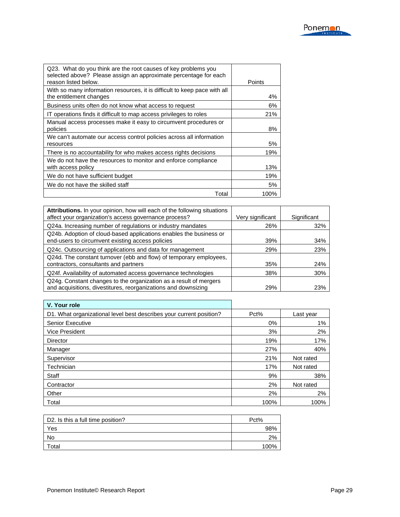| Q23. What do you think are the root causes of key problems you<br>selected above? Please assign an approximate percentage for each<br>reason listed below. | Points |
|------------------------------------------------------------------------------------------------------------------------------------------------------------|--------|
| With so many information resources, it is difficult to keep pace with all<br>the entitlement changes                                                       | 4%     |
| Business units often do not know what access to request                                                                                                    | 6%     |
| IT operations finds it difficult to map access privileges to roles                                                                                         | 21%    |
| Manual access processes make it easy to circumvent procedures or<br>policies                                                                               | 8%     |
| We can't automate our access control policies across all information<br>resources                                                                          | 5%     |
| There is no accountability for who makes access rights decisions                                                                                           | 19%    |
| We do not have the resources to monitor and enforce compliance<br>with access policy                                                                       | 13%    |
| We do not have sufficient budget                                                                                                                           | 19%    |
| We do not have the skilled staff                                                                                                                           | 5%     |
| Total                                                                                                                                                      | 100%   |

| Attributions. In your opinion, how will each of the following situations<br>affect your organization's access governance process? | Very significant | Significant |
|-----------------------------------------------------------------------------------------------------------------------------------|------------------|-------------|
| Q24a. Increasing number of regulations or industry mandates                                                                       | 26%              | 32%         |
| Q24b. Adoption of cloud-based applications enables the business or<br>end-users to circumvent existing access policies            | 39%              | 34%         |
| Q24c. Outsourcing of applications and data for management                                                                         | 29%              | 23%         |
| Q24d. The constant turnover (ebb and flow) of temporary employees,                                                                |                  |             |
| contractors, consultants and partners                                                                                             | 35%              | 24%         |
| Q24f. Availability of automated access governance technologies                                                                    | 38%              | 30%         |
| Q24g. Constant changes to the organization as a result of mergers                                                                 |                  |             |
| and acquisitions, divestitures, reorganizations and downsizing                                                                    | 29%              | 23%         |

J.

| V. Your role                                                        |      |           |
|---------------------------------------------------------------------|------|-----------|
| D1. What organizational level best describes your current position? | Pct% | Last year |
| <b>Senior Executive</b>                                             | 0%   | 1%        |
| Vice President                                                      | 3%   | 2%        |
| Director                                                            | 19%  | 17%       |
| Manager                                                             | 27%  | 40%       |
| Supervisor                                                          | 21%  | Not rated |
| Technician                                                          | 17%  | Not rated |
| Staff                                                               | 9%   | 38%       |
| Contractor                                                          | 2%   | Not rated |
| Other                                                               | 2%   | 2%        |
| Total                                                               | 100% | 100%      |

| D2. Is this a full time position? | Pct% |
|-----------------------------------|------|
| Yes                               | 98%  |
| No                                | 2%   |
| Total                             | 100% |

.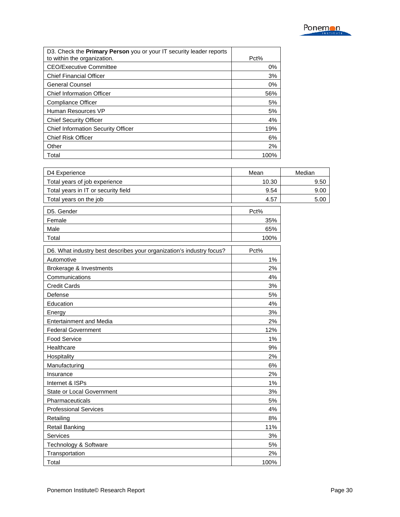| D3. Check the <b>Primary Person</b> you or your IT security leader reports<br>to within the organization. | Pct%  |
|-----------------------------------------------------------------------------------------------------------|-------|
| <b>CEO/Executive Committee</b>                                                                            | $0\%$ |
| <b>Chief Financial Officer</b>                                                                            | 3%    |
| General Counsel                                                                                           | $0\%$ |
| <b>Chief Information Officer</b>                                                                          | 56%   |
| <b>Compliance Officer</b>                                                                                 | 5%    |
| Human Resources VP                                                                                        | 5%    |
| <b>Chief Security Officer</b>                                                                             | 4%    |
| <b>Chief Information Security Officer</b>                                                                 | 19%   |
| <b>Chief Risk Officer</b>                                                                                 | 6%    |
| Other                                                                                                     | 2%    |
| Total                                                                                                     | 100%  |

| D4 Experience                                                        | Mean  | Median |
|----------------------------------------------------------------------|-------|--------|
| Total years of job experience                                        | 10.30 | 9.50   |
| Total years in IT or security field                                  | 9.54  | 9.00   |
| Total years on the job                                               | 4.57  | 5.00   |
| D5. Gender                                                           | Pct%  |        |
| Female                                                               | 35%   |        |
| Male                                                                 | 65%   |        |
| Total                                                                | 100%  |        |
| D6. What industry best describes your organization's industry focus? | Pct%  |        |
| Automotive                                                           | $1\%$ |        |
| Brokerage & Investments                                              | 2%    |        |
| Communications                                                       | 4%    |        |
| <b>Credit Cards</b>                                                  | 3%    |        |
| Defense                                                              | 5%    |        |
| Education                                                            | 4%    |        |
| Energy                                                               | 3%    |        |
| <b>Entertainment and Media</b>                                       | 2%    |        |
| <b>Federal Government</b>                                            | 12%   |        |
| Food Service                                                         | 1%    |        |
| Healthcare                                                           | 9%    |        |
| Hospitality                                                          | 2%    |        |
| Manufacturing                                                        | 6%    |        |
| Insurance                                                            | 2%    |        |
| Internet & ISPs                                                      | $1\%$ |        |
| State or Local Government                                            | 3%    |        |
| Pharmaceuticals                                                      | 5%    |        |
| <b>Professional Services</b>                                         | 4%    |        |
| Retailing                                                            | 8%    |        |
| <b>Retail Banking</b>                                                | 11%   |        |
| Services                                                             | 3%    |        |
| Technology & Software                                                | 5%    |        |
| Transportation                                                       | 2%    |        |
| Total                                                                | 100%  |        |